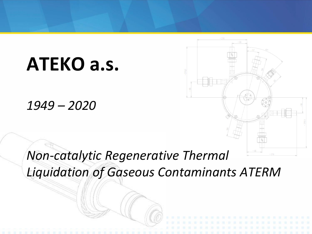# **ATEKO a.s.**

*1949 – 2020*

## *Non-catalytic Regenerative Thermal Liquidation of Gaseous Contaminants ATERM*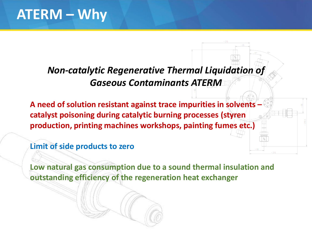### **ATERM – Why**

### *Non-catalytic Regenerative Thermal Liquidation of Gaseous Contaminants ATERM*

**A need of solution resistant against trace impurities in solvents – catalyst poisoning during catalytic burning processes (styren production, printing machines workshops, painting fumes etc.)**

**Limit of side products to zero**

**Low natural gas consumption due to a sound thermal insulation and outstanding efficiency of the regeneration heat exchanger**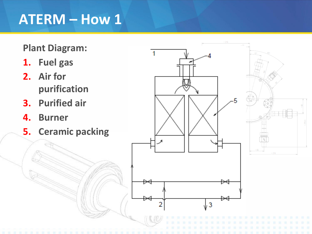### **ATERM – How 1**

#### **Plant Diagram:**

- **1. Fuel gas**
- **2. Air for purification**
- **3. Purified air**
- **4. Burner**
- **5. Ceramic packing**

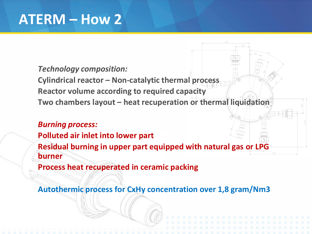### **ATERM – How 2**

#### *Technology composition:*

**Cylindrical reactor – Non-catalytic thermal process Reactor volume according to required capacity Two chambers layout – heat recuperation or thermal liquidation**

#### *Burning process:*

**Polluted air inlet into lower part Residual burning in upper part equipped with natural gas or LPG burner**

**Process heat recuperated in ceramic packing**

**Autothermic process for CxHy concentration over 1,8 gram/Nm3**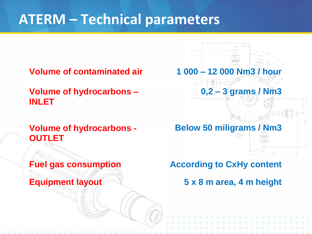## **ATERM – Technical parameters**

**Volume of hydrocarbons – INLET**

#### **Volume of hydrocarbons - OUTLET**



**Fuel gas consumption According to CxHy content**

**Equipment layout 5 x 8 m area, 4 m height**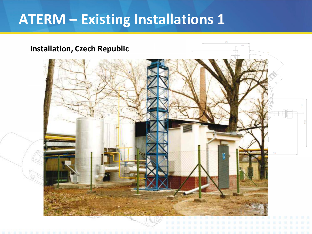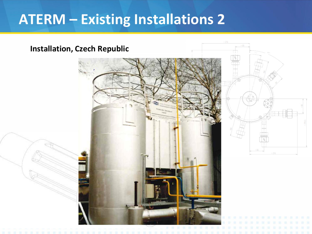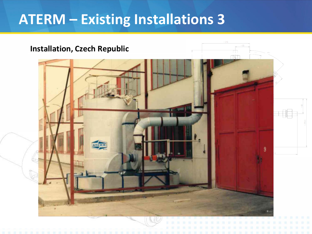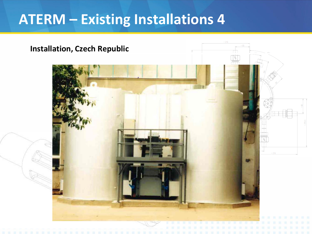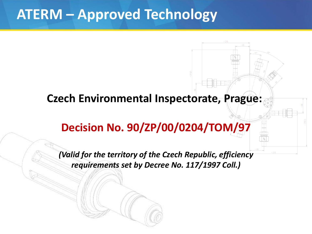### **ATERM – Approved Technology**

### **Czech Environmental Inspectorate, Prague:**

### **Decision No. 90/ZP/00/0204/TOM/97**

*(Valid for the territory of the Czech Republic, efficiency requirements set by Decree No. 117/1997 Coll.)*